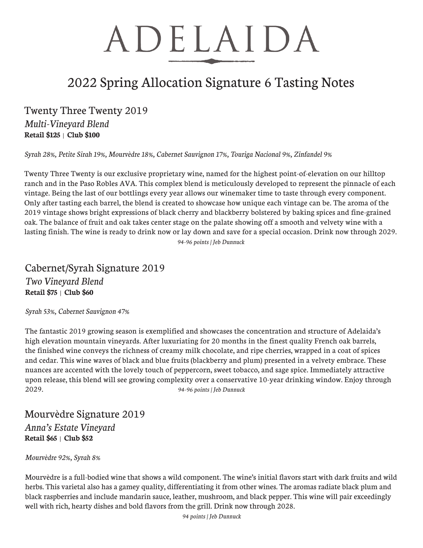# ADELAIDA

## 2022 Spring Allocation Signature 6 Tasting Notes

### Twenty Three Twenty 2019

*Multi-Vineyard Blend* **Retail \$125** | **Club \$100**

*Syrah 28%, Petite Sirah 19%, Mourvèdre 18%, Cabernet Sauvignon 17%, Touriga Nacional 9%, Zinfandel 9%*

Twenty Three Twenty is our exclusive proprietary wine, named for the highest point-of-elevation on our hilltop ranch and in the Paso Robles AVA. This complex blend is meticulously developed to represent the pinnacle of each vintage. Being the last of our bottlings every year allows our winemaker time to taste through every component. Only after tasting each barrel, the blend is created to showcase how unique each vintage can be. The aroma of the 2019 vintage shows bright expressions of black cherry and blackberry bolstered by baking spices and fine-grained oak. The balance of fruit and oak takes center stage on the palate showing off a smooth and velvety wine with a lasting finish. The wine is ready to drink now or lay down and save for a special occasion. Drink now through 2029. *94-96 points | Jeb Dunnuck*

### Cabernet/Syrah Signature 2019 *Two Vineyard Blend* **Retail \$75** | **Club \$60**

*Syrah 53%, Cabernet Sauvignon 47%*

The fantastic 2019 growing season is exemplified and showcases the concentration and structure of Adelaida's high elevation mountain vineyards. After luxuriating for 20 months in the finest quality French oak barrels, the finished wine conveys the richness of creamy milk chocolate, and ripe cherries, wrapped in a coat of spices and cedar. This wine waves of black and blue fruits (blackberry and plum) presented in a velvety embrace. These nuances are accented with the lovely touch of peppercorn, sweet tobacco, and sage spice. Immediately attractive upon release, this blend will see growing complexity over a conservative 10-year drinking window. Enjoy through 2029. *94-96 points | Jeb Dunnuck*

Mourvèdre Signature 2019 *Anna's Estate Vineyard* **Retail \$65** | **Club \$52**

#### *Mourvèdre 92%, Syrah 8%*

Mourvèdre is a full-bodied wine that shows a wild component. The wine's initial flavors start with dark fruits and wild herbs. This varietal also has a gamey quality, differentiating it from other wines. The aromas radiate black plum and black raspberries and include mandarin sauce, leather, mushroom, and black pepper. This wine will pair exceedingly well with rich, hearty dishes and bold flavors from the grill. Drink now through 2028.

*94 points | Jeb Dunnuck*